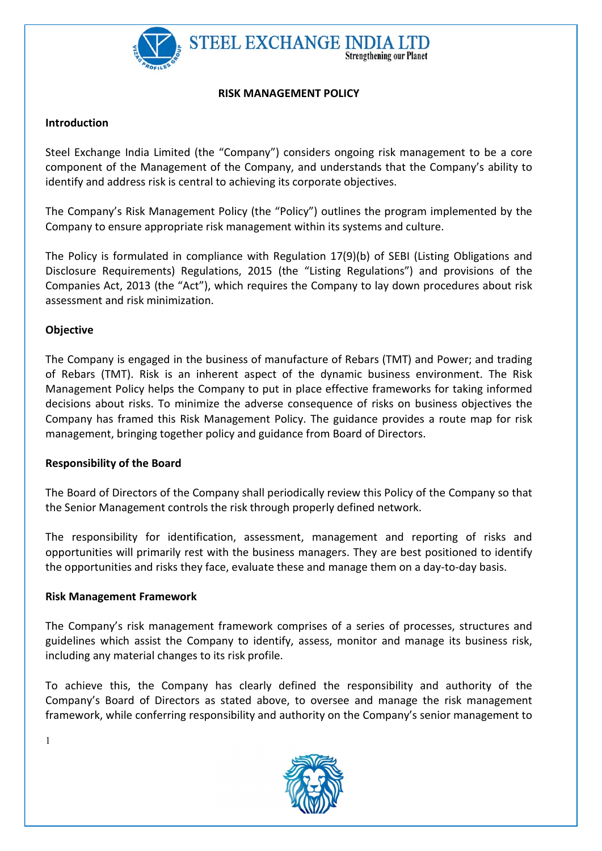

#### RISK MANAGEMENT POLICY

### **Introduction**

Steel Exchange India Limited (the "Company") considers ongoing risk management to be a core component of the Management of the Company, and understands that the Company's ability to identify and address risk is central to achieving its corporate objectives.

The Company's Risk Management Policy (the "Policy") outlines the program implemented by the Company to ensure appropriate risk management within its systems and culture.

The Policy is formulated in compliance with Regulation 17(9)(b) of SEBI (Listing Obligations and Disclosure Requirements) Regulations, 2015 (the "Listing Regulations") and provisions of the Companies Act, 2013 (the "Act"), which requires the Company to lay down procedures about risk assessment and risk minimization.

## Objective

The Company is engaged in the business of manufacture of Rebars (TMT) and Power; and trading of Rebars (TMT). Risk is an inherent aspect of the dynamic business environment. The Risk Management Policy helps the Company to put in place effective frameworks for taking informed decisions about risks. To minimize the adverse consequence of risks on business objectives the Company has framed this Risk Management Policy. The guidance provides a route map for risk management, bringing together policy and guidance from Board of Directors.

### Responsibility of the Board

The Board of Directors of the Company shall periodically review this Policy of the Company so that the Senior Management controls the risk through properly defined network.

The responsibility for identification, assessment, management and reporting of risks and opportunities will primarily rest with the business managers. They are best positioned to identify the opportunities and risks they face, evaluate these and manage them on a day-to-day basis.

### Risk Management Framework

The Company's risk management framework comprises of a series of processes, structures and guidelines which assist the Company to identify, assess, monitor and manage its business risk, including any material changes to its risk profile.

To achieve this, the Company has clearly defined the responsibility and authority of the Company's Board of Directors as stated above, to oversee and manage the risk management framework, while conferring responsibility and authority on the Company's senior management to



1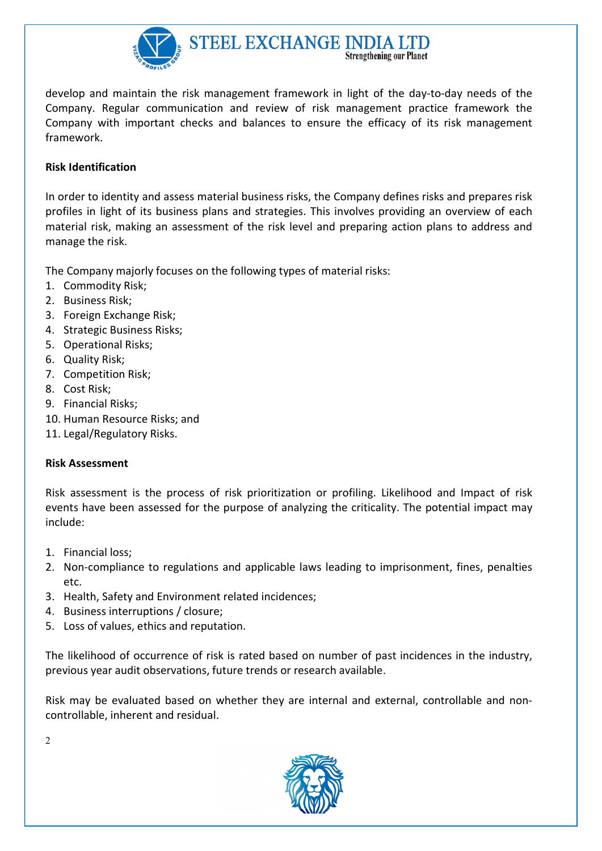

develop and maintain the risk management framework in light of the day-to-day needs of the Company. Regular communication and review of risk management practice framework the Company with important checks and balances to ensure the efficacy of its risk management framework.

# Risk Identification

In order to identity and assess material business risks, the Company defines risks and prepares risk profiles in light of its business plans and strategies. This involves providing an overview of each material risk, making an assessment of the risk level and preparing action plans to address and manage the risk.

The Company majorly focuses on the following types of material risks:

- 1. Commodity Risk;
- 2. Business Risk;
- 3. Foreign Exchange Risk;
- 4. Strategic Business Risks;
- 5. Operational Risks;
- 6. Quality Risk;
- 7. Competition Risk;
- 8. Cost Risk;
- 9. Financial Risks;
- 10. Human Resource Risks; and
- 11. Legal/Regulatory Risks.

# Risk Assessment

Risk assessment is the process of risk prioritization or profiling. Likelihood and Impact of risk events have been assessed for the purpose of analyzing the criticality. The potential impact may include:

- 1. Financial loss;
- 2. Non-compliance to regulations and applicable laws leading to imprisonment, fines, penalties etc.
- 3. Health, Safety and Environment related incidences;
- 4. Business interruptions / closure;
- 5. Loss of values, ethics and reputation.

The likelihood of occurrence of risk is rated based on number of past incidences in the industry, previous year audit observations, future trends or research available.

Risk may be evaluated based on whether they are internal and external, controllable and noncontrollable, inherent and residual.



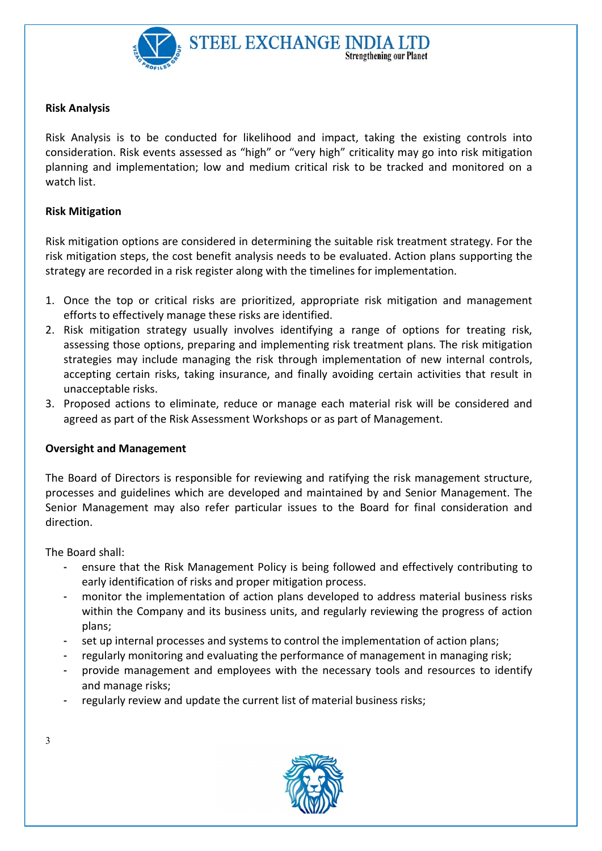

# Risk Analysis

Risk Analysis is to be conducted for likelihood and impact, taking the existing controls into consideration. Risk events assessed as "high" or "very high" criticality may go into risk mitigation planning and implementation; low and medium critical risk to be tracked and monitored on a watch list.

# Risk Mitigation

Risk mitigation options are considered in determining the suitable risk treatment strategy. For the risk mitigation steps, the cost benefit analysis needs to be evaluated. Action plans supporting the strategy are recorded in a risk register along with the timelines for implementation.

- 1. Once the top or critical risks are prioritized, appropriate risk mitigation and management efforts to effectively manage these risks are identified.
- 2. Risk mitigation strategy usually involves identifying a range of options for treating risk, assessing those options, preparing and implementing risk treatment plans. The risk mitigation strategies may include managing the risk through implementation of new internal controls, accepting certain risks, taking insurance, and finally avoiding certain activities that result in unacceptable risks.
- 3. Proposed actions to eliminate, reduce or manage each material risk will be considered and agreed as part of the Risk Assessment Workshops or as part of Management.

### Oversight and Management

The Board of Directors is responsible for reviewing and ratifying the risk management structure, processes and guidelines which are developed and maintained by and Senior Management. The Senior Management may also refer particular issues to the Board for final consideration and direction.

The Board shall:

- ensure that the Risk Management Policy is being followed and effectively contributing to early identification of risks and proper mitigation process.
- monitor the implementation of action plans developed to address material business risks within the Company and its business units, and regularly reviewing the progress of action plans;
- set up internal processes and systems to control the implementation of action plans;
- regularly monitoring and evaluating the performance of management in managing risk;
- provide management and employees with the necessary tools and resources to identify and manage risks;
- regularly review and update the current list of material business risks;



3